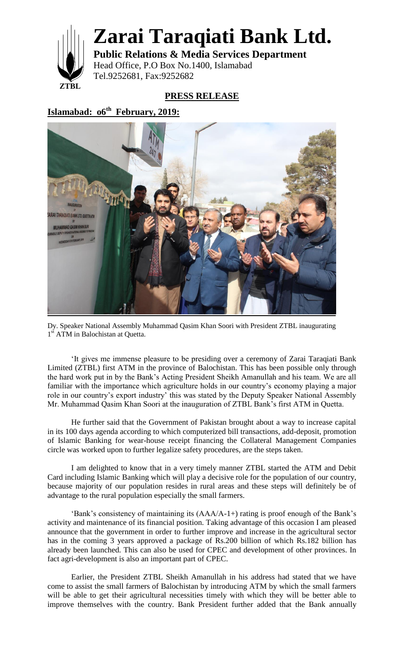

**Zarai Taraqiati Bank Ltd.**

**Public Relations & Media Services Department** Head Office, P.O Box No.1400, Islamabad Tel.9252681, Fax:9252682

**PRESS RELEASE**

**Islamabad: o6th February, 2019:**



Dy. Speaker National Assembly Muhammad Qasim Khan Soori with President ZTBL inaugurating 1<sup>st</sup> ATM in Balochistan at Quetta.

'It gives me immense pleasure to be presiding over a ceremony of Zarai Taraqiati Bank Limited (ZTBL) first ATM in the province of Balochistan. This has been possible only through the hard work put in by the Bank's Acting President Sheikh Amanullah and his team. We are all familiar with the importance which agriculture holds in our country's economy playing a major role in our country's export industry' this was stated by the Deputy Speaker National Assembly Mr. Muhammad Qasim Khan Soori at the inauguration of ZTBL Bank's first ATM in Quetta.

He further said that the Government of Pakistan brought about a way to increase capital in its 100 days agenda according to which computerized bill transactions, add-deposit, promotion of Islamic Banking for wear-house receipt financing the Collateral Management Companies circle was worked upon to further legalize safety procedures, are the steps taken.

I am delighted to know that in a very timely manner ZTBL started the ATM and Debit Card including Islamic Banking which will play a decisive role for the population of our country, because majority of our population resides in rural areas and these steps will definitely be of advantage to the rural population especially the small farmers.

'Bank's consistency of maintaining its (AAA/A-1+) rating is proof enough of the Bank's activity and maintenance of its financial position. Taking advantage of this occasion I am pleased announce that the government in order to further improve and increase in the agricultural sector has in the coming 3 years approved a package of Rs.200 billion of which Rs.182 billion has already been launched. This can also be used for CPEC and development of other provinces. In fact agri-development is also an important part of CPEC.

Earlier, the President ZTBL Sheikh Amanullah in his address had stated that we have come to assist the small farmers of Balochistan by introducing ATM by which the small farmers will be able to get their agricultural necessities timely with which they will be better able to improve themselves with the country. Bank President further added that the Bank annually